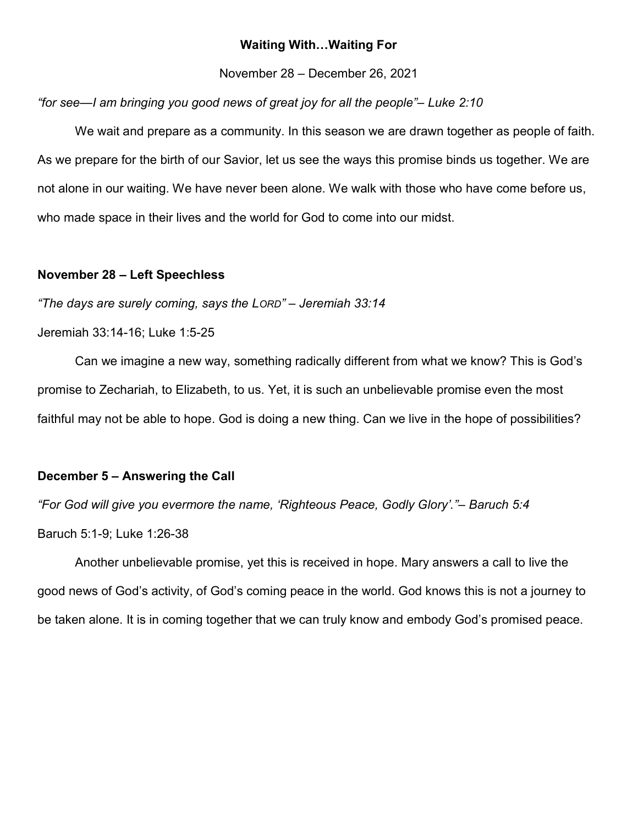# Waiting With…Waiting For

November 28 – December 26, 2021

## "for see—I am bringing you good news of great joy for all the people"– Luke 2:10

We wait and prepare as a community. In this season we are drawn together as people of faith. As we prepare for the birth of our Savior, let us see the ways this promise binds us together. We are not alone in our waiting. We have never been alone. We walk with those who have come before us, who made space in their lives and the world for God to come into our midst.

## November 28 – Left Speechless

"The days are surely coming, says the LORD" – Jeremiah 33:14

Jeremiah 33:14-16; Luke 1:5-25

 Can we imagine a new way, something radically different from what we know? This is God's promise to Zechariah, to Elizabeth, to us. Yet, it is such an unbelievable promise even the most faithful may not be able to hope. God is doing a new thing. Can we live in the hope of possibilities?

#### December 5 – Answering the Call

"For God will give you evermore the name, 'Righteous Peace, Godly Glory'."– Baruch 5:4

Baruch 5:1-9; Luke 1:26-38

 Another unbelievable promise, yet this is received in hope. Mary answers a call to live the good news of God's activity, of God's coming peace in the world. God knows this is not a journey to be taken alone. It is in coming together that we can truly know and embody God's promised peace.